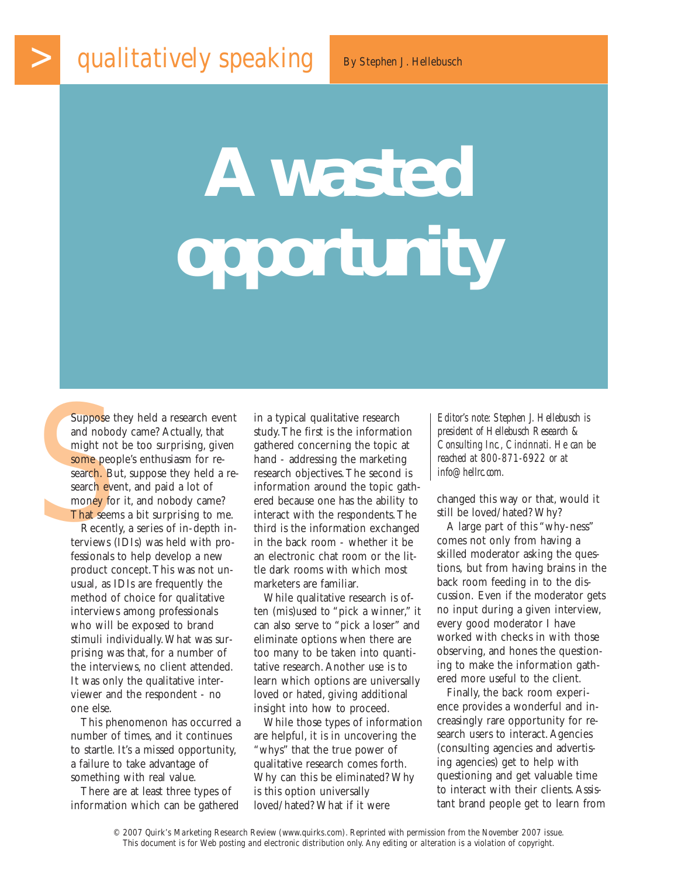## **A wasted opportunity**

Suppose they<br>and nobody of<br>might not be<br>some people':<br>search. But, s<br>search event,<br>money for it,<br>That seems a<br>Recently, a<br>terviews (IDI Suppose they held a research event and nobody came? Actually, that might not be too surprising, given some people's enthusiasm for research. But, suppose they held a research event, and paid a lot of money for it, and nobody came? That seems a bit surprising to me.

Recently, a series of in-depth interviews (IDIs) was held with professionals to help develop a new product concept. This was not unusual, as IDIs are frequently the method of choice for qualitative interviews among professionals who will be exposed to brand stimuli individually. What was surprising was that, for a number of the interviews, no client attended. It was only the qualitative interviewer and the respondent - no one else.

This phenomenon has occurred a number of times, and it continues to startle. It's a missed opportunity, a failure to take advantage of something with real value.

There are at least three types of information which can be gathered in a typical qualitative research study. The first is the information gathered concerning the topic at hand - addressing the marketing research objectives. The second is information around the topic gathered because one has the ability to interact with the respondents. The third is the information exchanged in the back room - whether it be an electronic chat room or the little dark rooms with which most marketers are familiar.

While qualitative research is often (mis)used to "pick a winner," it can also serve to "pick a loser" and eliminate options when there are too many to be taken into quantitative research. Another use is to learn which options are universally loved or hated, giving additional insight into how to proceed.

While those types of information are helpful, it is in uncovering the "whys" that the true power of qualitative research comes forth. Why can this be eliminated? Why is this option universally loved/hated? What if it were

*Editor's note: Stephen J. Hellebusch is president of Hellebusch Research & Consulting Inc., Cincinnati. He can be reached at 800-871-6922 or at info@hellrc.com.*

changed this way or that, would it still be loved/hated? Why?

A large part of this "why-ness" comes not only from having a skilled moderator asking the questions, but from having brains in the back room feeding in to the discussion. Even if the moderator gets no input during a given interview, every good moderator I have worked with checks in with those observing, and hones the questioning to make the information gathered more useful to the client.

Finally, the back room experience provides a wonderful and increasingly rare opportunity for research users to interact. Agencies (consulting agencies and advertising agencies) get to help with questioning and get valuable time to interact with their clients. Assistant brand people get to learn from

© 2007 Quirk's Marketing Research Review (www.quirks.com). Reprinted with permission from the November 2007 issue. This document is for Web posting and electronic distribution only. Any editing or alteration is a violation of copyright.